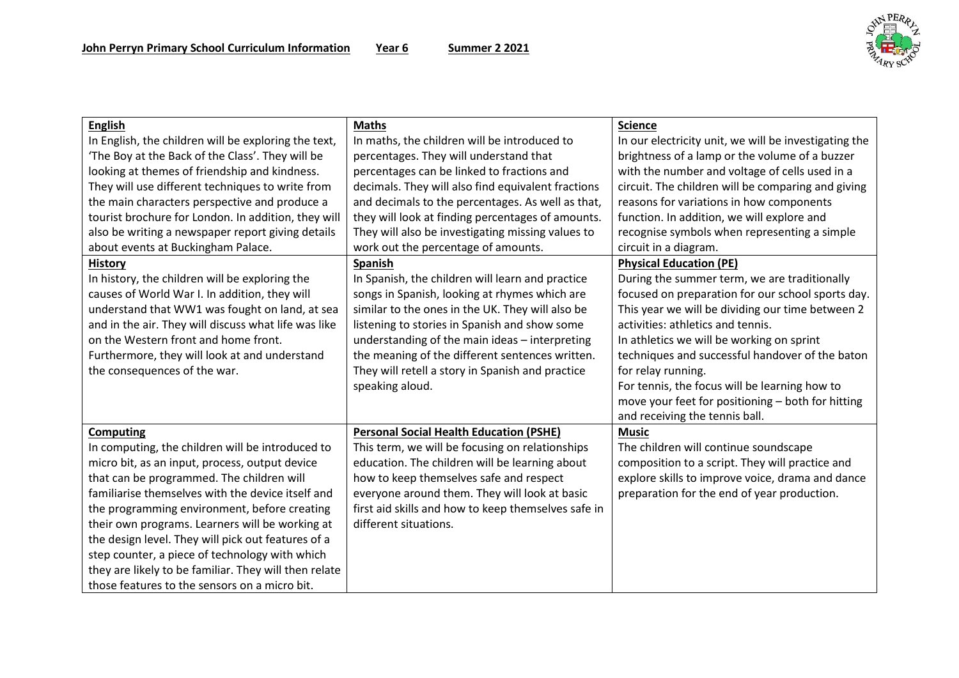

| <b>English</b>                                        | <b>Maths</b>                                        | <b>Science</b>                                        |
|-------------------------------------------------------|-----------------------------------------------------|-------------------------------------------------------|
| In English, the children will be exploring the text,  | In maths, the children will be introduced to        | In our electricity unit, we will be investigating the |
| 'The Boy at the Back of the Class'. They will be      | percentages. They will understand that              | brightness of a lamp or the volume of a buzzer        |
| looking at themes of friendship and kindness.         | percentages can be linked to fractions and          | with the number and voltage of cells used in a        |
| They will use different techniques to write from      | decimals. They will also find equivalent fractions  | circuit. The children will be comparing and giving    |
| the main characters perspective and produce a         | and decimals to the percentages. As well as that,   | reasons for variations in how components              |
| tourist brochure for London. In addition, they will   | they will look at finding percentages of amounts.   | function. In addition, we will explore and            |
| also be writing a newspaper report giving details     | They will also be investigating missing values to   | recognise symbols when representing a simple          |
|                                                       |                                                     |                                                       |
| about events at Buckingham Palace.                    | work out the percentage of amounts.                 | circuit in a diagram.                                 |
| <b>History</b>                                        | <b>Spanish</b>                                      | <b>Physical Education (PE)</b>                        |
| In history, the children will be exploring the        | In Spanish, the children will learn and practice    | During the summer term, we are traditionally          |
| causes of World War I. In addition, they will         | songs in Spanish, looking at rhymes which are       | focused on preparation for our school sports day.     |
| understand that WW1 was fought on land, at sea        | similar to the ones in the UK. They will also be    | This year we will be dividing our time between 2      |
| and in the air. They will discuss what life was like  | listening to stories in Spanish and show some       | activities: athletics and tennis.                     |
| on the Western front and home front.                  | understanding of the main ideas - interpreting      | In athletics we will be working on sprint             |
| Furthermore, they will look at and understand         | the meaning of the different sentences written.     | techniques and successful handover of the baton       |
| the consequences of the war.                          | They will retell a story in Spanish and practice    | for relay running.                                    |
|                                                       | speaking aloud.                                     | For tennis, the focus will be learning how to         |
|                                                       |                                                     | move your feet for positioning - both for hitting     |
|                                                       |                                                     | and receiving the tennis ball.                        |
| <b>Computing</b>                                      | <b>Personal Social Health Education (PSHE)</b>      | <b>Music</b>                                          |
| In computing, the children will be introduced to      | This term, we will be focusing on relationships     | The children will continue soundscape                 |
| micro bit, as an input, process, output device        | education. The children will be learning about      | composition to a script. They will practice and       |
| that can be programmed. The children will             | how to keep themselves safe and respect             | explore skills to improve voice, drama and dance      |
| familiarise themselves with the device itself and     | everyone around them. They will look at basic       | preparation for the end of year production.           |
| the programming environment, before creating          | first aid skills and how to keep themselves safe in |                                                       |
| their own programs. Learners will be working at       | different situations.                               |                                                       |
| the design level. They will pick out features of a    |                                                     |                                                       |
| step counter, a piece of technology with which        |                                                     |                                                       |
| they are likely to be familiar. They will then relate |                                                     |                                                       |
| those features to the sensors on a micro bit.         |                                                     |                                                       |